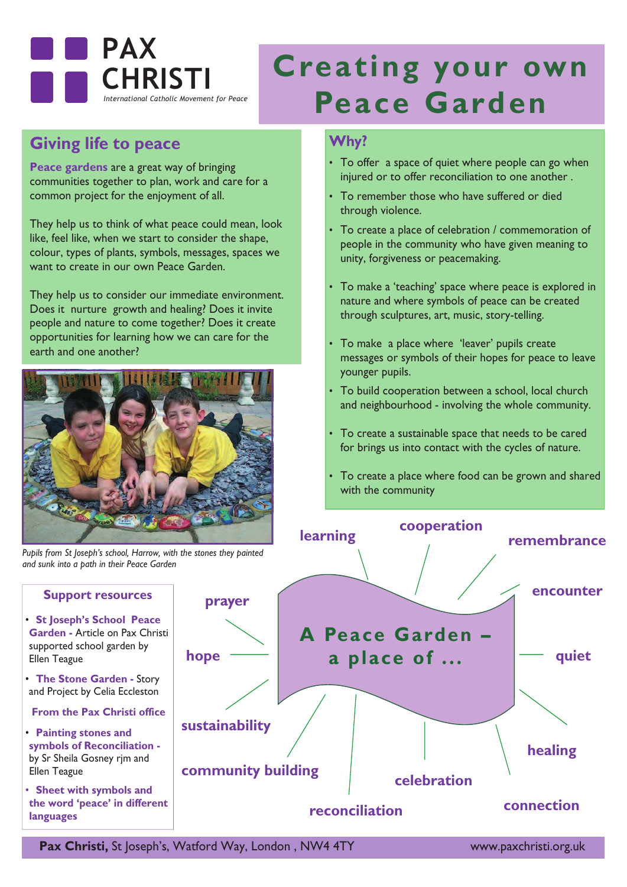

## **Giving life to peace**

**Peace gardens** are a great way of bringing communities together to plan, work and care for a common project for the enjoyment of all.

They help us to think of what peace could mean, look like, feel like, when we start to consider the shape, colour, types of plants, symbols, messages, spaces we want to create in our own Peace Garden.

They help us to consider our immediate environment. Does it nurture growth and healing? Does it invite people and nature to come together? Does it create opportunities for learning how we can care for the earth and one another?



*Pupils from St Joseph's school, Harrow, with the stones they painted and sunk into a path in their Peace Garden* 

# **Creating your own Peace Garden**

### **Why?**

- To offer a space of quiet where people can go when injured or to offer reconciliation to one another .
- To remember those who have suffered or died through violence.
- To create a place of celebration / commemoration of people in the community who have given meaning to unity, forgiveness or peacemaking.
- To make a 'teaching' space where peace is explored in nature and where symbols of peace can be created through sculptures, art, music, story-telling.
- To make a place where 'leaver' pupils create messages or symbols of their hopes for peace to leave younger pupils.
- To build cooperation between a school, local church and neighbourhood - involving the whole community.
- To create a sustainable space that needs to be cared for brings us into contact with the cycles of nature.
- To create a place where food can be grown and shared with the community



**Garden -** Article on Pax Christi supported school garden by Ellen Teague • **The Stone Garden -** Story

**Support resources**

• **St Joseph's School Peace**

and Project by Celia Eccleston

**From the Pax Christi office**

- **Painting stones and symbols of Reconciliation**  by Sr Sheila Gosney rjm and Ellen Teague
- **Sheet with symbols and the word 'peace' in different languages**

**Pax Christi,** St Joseph's, Watford Way, London, NW4 4TY www.paxchristi.org.uk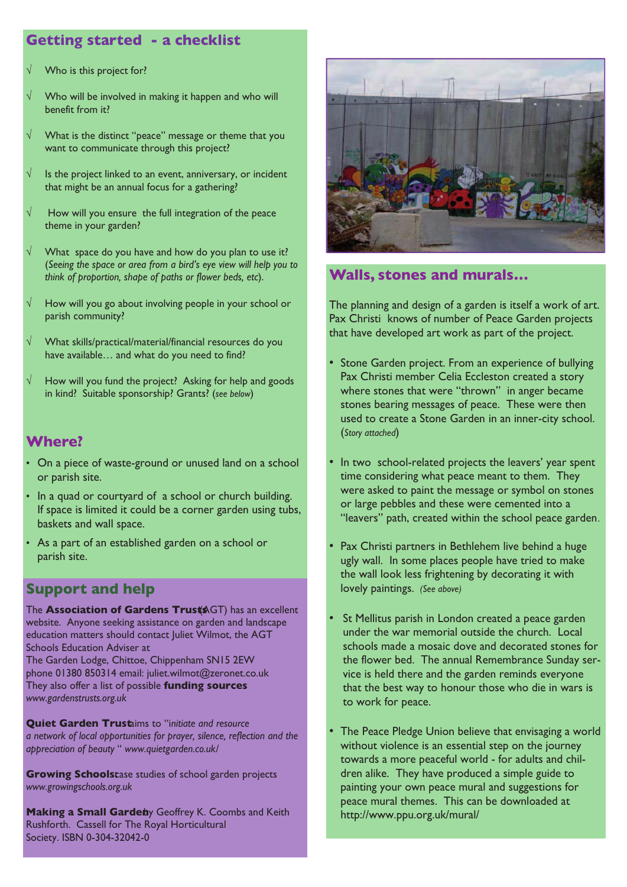## **Getting started - a checklist**

- Who is this project for?
- Who will be involved in making it happen and who will benefit from it?
- √ What is the distinct "peace" message or theme that you want to communicate through this project?
- Is the project linked to an event, anniversary, or incident that might be an annual focus for a gathering?
- How will you ensure the full integration of the peace theme in your garden?
- What space do you have and how do you plan to use it? (*Seeing the space or area from a bird's eye view will help you to think of proportion, shape of paths or flower beds, etc*).
- How will you go about involving people in your school or parish community?
- √ What skills/practical/material/financial resources do you have available… and what do you need to find?
- How will you fund the project? Asking for help and goods in kind? Suitable sponsorship? Grants? (*see below*)

### **Where?**

- On a piece of waste-ground or unused land on a school or parish site.
- In a quad or courtyard of a school or church building. If space is limited it could be a corner garden using tubs, baskets and wall space.
- As a part of an established garden on a school or parish site.

## **Support and help**

**The Association of Gardens Trust**<br> **The Association of Gardens Trust**<br> **AGGT** website. Anyone seeking assistance on garden and landscape education matters should contact Juliet Wilmot, the AGT Schools Education Adviser at The Garden Lodge, Chittoe, Chippenham SN15 2EW phone 01380 850314 email: juliet.wilmot@zeronet.co.uk They also offer a list of possible **funding sources** 

*www.gardenstrusts.org.uk*

**Quiet Garden Trust**aims to "i*nitiate and resource a network of local opportunities for prayer, silence, reflection and the appreciation of beauty* " *www.quietgarden.co.uk/*

**Growing Schoolstase studies of school garden projects** *www.growingschools.org.uk*

**Making a Small Garden**by Geoffrey K. Coombs and Keith Rushforth. Cassell for The Royal Horticultural Society. ISBN 0-304-32042-0



## **Walls, stones and murals…**

The planning and design of a garden is itself a work of art. Pax Christi knows of number of Peace Garden projects that have developed art work as part of the project.

- Stone Garden project. From an experience of bullying Pax Christi member Celia Eccleston created a story where stones that were "thrown" in anger became stones bearing messages of peace. These were then used to create a Stone Garden in an inner-city school. (*Story attached*)
- In two school-related projects the leavers' year spent time considering what peace meant to them. They were asked to paint the message or symbol on stones or large pebbles and these were cemented into a "leavers" path, created within the school peace garden.
- Pax Christi partners in Bethlehem live behind a huge ugly wall. In some places people have tried to make the wall look less frightening by decorating it with lovely paintings. *(See above)*
- St Mellitus parish in London created a peace garden under the war memorial outside the church. Local schools made a mosaic dove and decorated stones for the flower bed. The annual Remembrance Sunday service is held there and the garden reminds everyone that the best way to honour those who die in wars is to work for peace.
- The Peace Pledge Union believe that envisaging a world without violence is an essential step on the journey towards a more peaceful world - for adults and children alike. They have produced a simple guide to painting your own peace mural and suggestions for peace mural themes. This can be downloaded at http://www.ppu.org.uk/mural/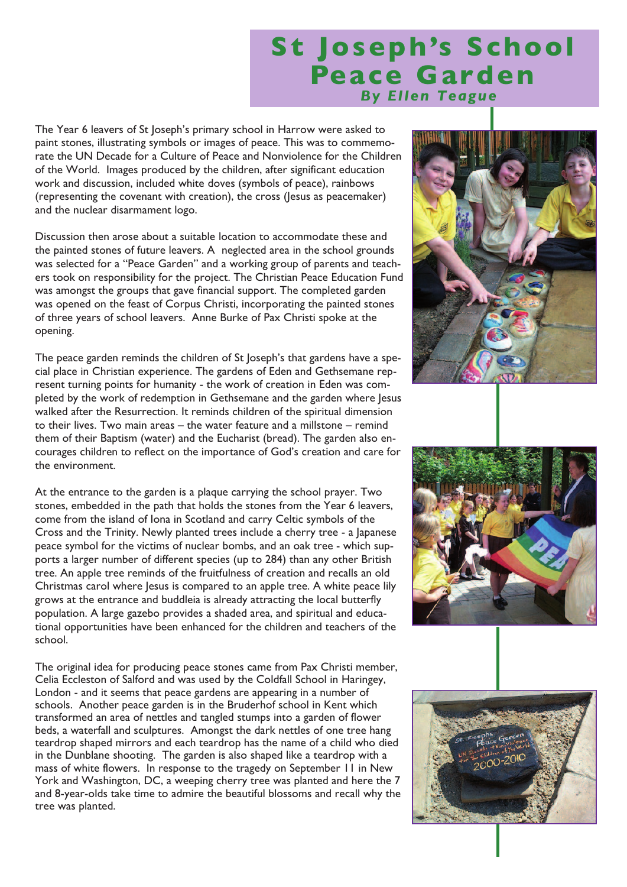## **St Joseph's School Peace Garden** *By Ellen Teague*

The Year 6 leavers of St Joseph's primary school in Harrow were asked to paint stones, illustrating symbols or images of peace. This was to commemorate the UN Decade for a Culture of Peace and Nonviolence for the Children of the World. Images produced by the children, after significant education work and discussion, included white doves (symbols of peace), rainbows (representing the covenant with creation), the cross (Jesus as peacemaker) and the nuclear disarmament logo.

Discussion then arose about a suitable location to accommodate these and the painted stones of future leavers. A neglected area in the school grounds was selected for a "Peace Garden" and a working group of parents and teachers took on responsibility for the project. The Christian Peace Education Fund was amongst the groups that gave financial support. The completed garden was opened on the feast of Corpus Christi, incorporating the painted stones of three years of school leavers. Anne Burke of Pax Christi spoke at the opening.

The peace garden reminds the children of St Joseph's that gardens have a special place in Christian experience. The gardens of Eden and Gethsemane represent turning points for humanity - the work of creation in Eden was completed by the work of redemption in Gethsemane and the garden where Jesus walked after the Resurrection. It reminds children of the spiritual dimension to their lives. Two main areas – the water feature and a millstone – remind them of their Baptism (water) and the Eucharist (bread). The garden also encourages children to reflect on the importance of God's creation and care for the environment.

At the entrance to the garden is a plaque carrying the school prayer. Two stones, embedded in the path that holds the stones from the Year 6 leavers, come from the island of Iona in Scotland and carry Celtic symbols of the Cross and the Trinity. Newly planted trees include a cherry tree - a Japanese peace symbol for the victims of nuclear bombs, and an oak tree - which supports a larger number of different species (up to 284) than any other British tree. An apple tree reminds of the fruitfulness of creation and recalls an old Christmas carol where Jesus is compared to an apple tree. A white peace lily grows at the entrance and buddleia is already attracting the local butterfly population. A large gazebo provides a shaded area, and spiritual and educational opportunities have been enhanced for the children and teachers of the school.

The original idea for producing peace stones came from Pax Christi member, Celia Eccleston of Salford and was used by the Coldfall School in Haringey, London - and it seems that peace gardens are appearing in a number of schools. Another peace garden is in the Bruderhof school in Kent which transformed an area of nettles and tangled stumps into a garden of flower beds, a waterfall and sculptures. Amongst the dark nettles of one tree hang teardrop shaped mirrors and each teardrop has the name of a child who died in the Dunblane shooting. The garden is also shaped like a teardrop with a mass of white flowers. In response to the tragedy on September 11 in New York and Washington, DC, a weeping cherry tree was planted and here the 7 and 8-year-olds take time to admire the beautiful blossoms and recall why the tree was planted.